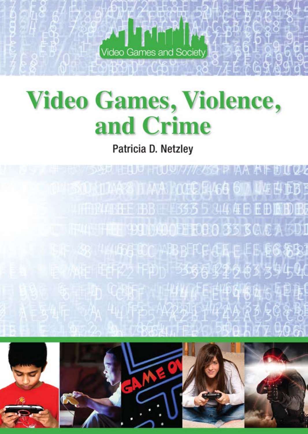

# **Video Games, Violence,** and Crime

Patricia D. Netzley



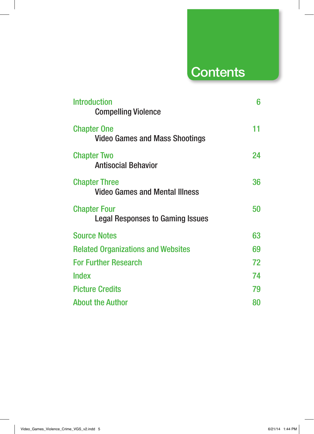## **Contents**

| <b>Introduction</b><br><b>Compelling Violence</b>             | 6  |
|---------------------------------------------------------------|----|
| <b>Chapter One</b><br><b>Video Games and Mass Shootings</b>   | 11 |
| <b>Chapter Two</b><br><b>Antisocial Behavior</b>              | 24 |
| <b>Chapter Three</b><br><b>Video Games and Mental Illness</b> | 36 |
| <b>Chapter Four</b><br>Legal Responses to Gaming Issues       | 50 |
| <b>Source Notes</b>                                           | 63 |
| <b>Related Organizations and Websites</b>                     | 69 |
| <b>For Further Research</b>                                   | 72 |
| <b>Index</b>                                                  | 74 |
| <b>Picture Credits</b>                                        | 79 |
| <b>About the Author</b>                                       | 80 |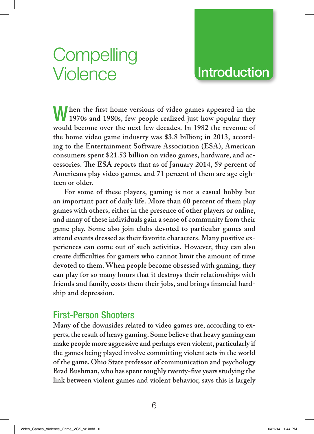# **Compelling** Violence

### **Introduction**

When the first home versions of video games appeared in the **1970s and 1980s, few people realized just how popular they would become over the next few decades. In 1982 the revenue of the home video game industry was \$3.8 billion; in 2013, according to the Entertainment Software Association (ESA), American consumers spent \$21.53 billion on video games, hardware, and ac**cessories. The ESA reports that as of January 2014, 59 percent of **Americans play video games, and 71 percent of them are age eighteen or older.**

**For some of these players, gaming is not a casual hobby but an important part of daily life. More than 60 percent of them play games with others, either in the presence of other players or online, and many of these individuals gain a sense of community from their game play. Some also join clubs devoted to particular games and attend events dressed as their favorite characters. Many positive experiences can come out of such activities. However, they can also**  create difficulties for gamers who cannot limit the amount of time **devoted to them. When people become obsessed with gaming, they can play for so many hours that it destroys their relationships with**  friends and family, costs them their jobs, and brings financial hard**ship and depression.**

### First-Person Shooters

**Many of the downsides related to video games are, according to experts, the result of heavy gaming. Some believe that heavy gaming can make people more aggressive and perhaps even violent, particularly if the games being played involve committing violent acts in the world of the game. Ohio State professor of communication and psychology**  Brad Bushman, who has spent roughly twenty-five years studying the **link between violent games and violent behavior, says this is largely**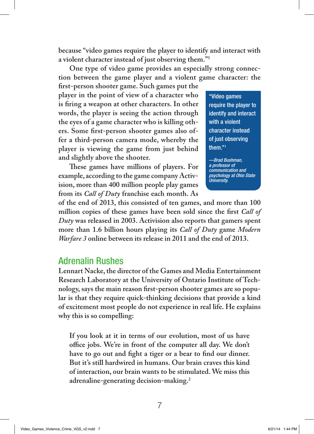**because "video games require the player to identify and interact with a violent character instead of just observing them."1**

**One type of video game provides an especially strong connection between the game player and a violent game character: the** 

**fi rst-person shooter game. Such games put the player in the point of view of a character who**  is firing a weapon at other characters. In other **words, the player is seeing the action through the eyes of a game character who is killing oth**ers. Some first-person shooter games also of**fer a third-person camera mode, whereby the player is viewing the game from just behind and slightly above the shooter.**

**Th ese games have millions of players. For example, according to the game company Activision, more than 400 million people play games from its** *Call of Duty* **franchise each month. As** 

"Video games require the player to identify and interact with a violent character instead of just observing them."1

*—Brad Bushman, a professor of communication and psychology at Ohio State University.*

**of the end of 2013, this consisted of ten games, and more than 100**  million copies of these games have been sold since the first *Call of Duty* **was released in 2003. Activision also reports that gamers spent more than 1.6 billion hours playing its** *Call of Duty* **game** *Modern Warfare 3* **online between its release in 2011 and the end of 2013.**

### Adrenalin Rushes

**Lennart Nacke, the director of the Games and Media Entertainment Research Laboratory at the University of Ontario Institute of Tech**nology, says the main reason first-person shooter games are so popu**lar is that they require quick-thinking decisions that provide a kind of excitement most people do not experience in real life. He explains why this is so compelling:** 

**If you look at it in terms of our evolution, most of us have**  office jobs. We're in front of the computer all day. We don't have to go out and fight a tiger or a bear to find our dinner. **But it's still hardwired in humans. Our brain craves this kind of interaction, our brain wants to be stimulated. We miss this adrenaline-generating decision-making.2**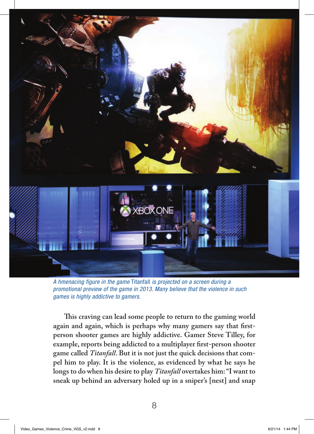

*A hmenacing figure in the game* Titanfall *is projected on a screen during a promotional preview of the game in 2013. Many believe that the violence in such games is highly addictive to gamers.*

**This craving can lead some people to return to the gaming world again and again, which is perhaps why many gamers say that firstperson shooter games are highly addictive. Gamer Steve Tilley, for example, reports being addicted to a multiplayer first-person shooter game called** *Titanfall***. But it is not just the quick decisions that compel him to play. It is the violence, as evidenced by what he says he longs to do when his desire to play** *Titanfall* **overtakes him: "I want to sneak up behind an adversary holed up in a sniper's [nest] and snap**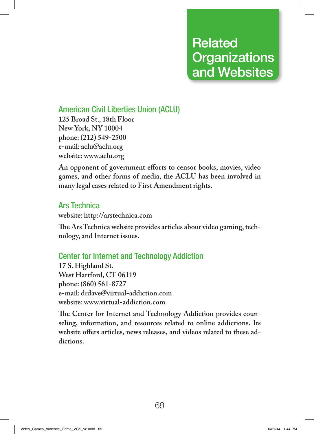### Related **Organizations** and Websites

### American Civil Liberties Union (ACLU)

**125 Broad St., 18th Floor New York, NY 10004 phone: (212) 549-2500 e-mail: aclu@aclu.org website: www.aclu.org**

An opponent of government efforts to censor books, movies, video **games, and other forms of media, the ACLU has been involved in many legal cases related to First Amendment rights.**

### Ars Technica

**website: http://arstechnica.com**

The Ars Technica website provides articles about video gaming, tech**nology, and Internet issues.**

### Center for Internet and Technology Addiction

**17 S. Highland St. West Hartford, CT 06119 phone: (860) 561-8727 e-mail: drdave@virtual-addiction.com website: www.virtual-addiction.com**

The Center for Internet and Technology Addiction provides coun**seling, information, and resources related to online addictions. Its**  website offers articles, news releases, and videos related to these ad**dictions.**